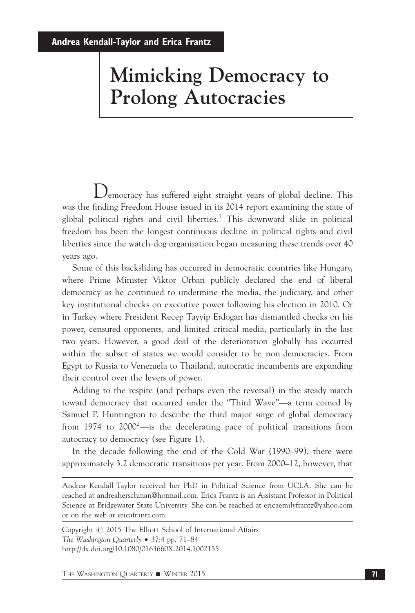# Mimicking Democracy to Prolong Autocracies

 $\mathcal{Y}_{\text{emocracy}}$  has suffered eight straight years of global decline. This was the finding Freedom House issued in its 2014 report examining the state of global political rights and civil liberties.<sup>1</sup> This downward slide in political freedom has been the longest continuous decline in political rights and civil liberties since the watch-dog organization began measuring these trends over 40 years ago.

Some of this backsliding has occurred in democratic countries like Hungary, where Prime Minister Viktor Orban publicly declared the end of liberal democracy as he continued to undermine the media, the judiciary, and other key institutional checks on executive power following his election in 2010. Or in Turkey where President Recep Tayyip Erdogan has dismantled checks on his power, censured opponents, and limited critical media, particularly in the last two years. However, a good deal of the deterioration globally has occurred within the subset of states we would consider to be non-democracies. From Egypt to Russia to Venezuela to Thailand, autocratic incumbents are expanding their control over the levers of power.

Adding to the respite (and perhaps even the reversal) in the steady march toward democracy that occurred under the "Third Wave"—a term coined by Samuel P. Huntington to describe the third major surge of global democracy from 1974 to 2000<sup>2</sup>—is the decelerating pace of political transitions from autocracy to democracy (see Figure 1).

In the decade following the end of the Cold War (1990–99), there were approximately 3.2 democratic transitions per year. From 2000–12, however, that

Andrea Kendall-Taylor received her PhD in Political Science from UCLA. She can be reached at [andreaherschman@hotmail.com](mailto:andreaherschman@hotmail.com). Erica Frantz is an Assistant Professor in Political Science at Bridgewater State University. She can be reached at [ericaemilyfrantz@yahoo.com](mailto:ericaemilyfrantz@yahoo.com) or on the web at [ericafrantz.com.](http://ericafrantz.com)

Copyright  $\odot$  2015 The Elliott School of International Affairs The Washington Quarterly • 37:4 pp. 71–84 <http://dx.doi.org/10.1080/0163660X.2014.1002155>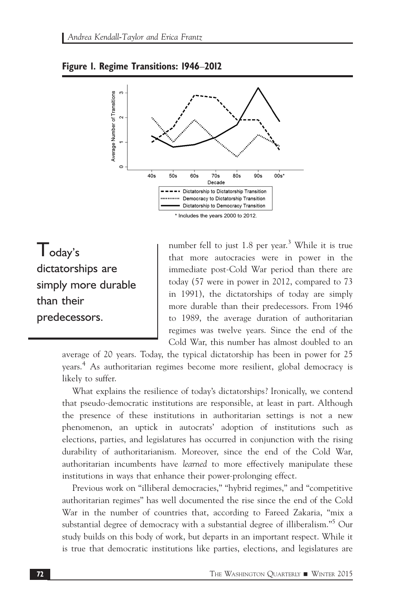

## Figure 1. Regime Transitions: 1946–2012

\* Includes the years 2000 to 2012.

Today's dictatorships are simply more durable than their predecessors.

number fell to just  $1.8$  per year.<sup>3</sup> While it is true that more autocracies were in power in the immediate post-Cold War period than there are today (57 were in power in 2012, compared to 73 in 1991), the dictatorships of today are simply more durable than their predecessors. From 1946 to 1989, the average duration of authoritarian regimes was twelve years. Since the end of the Cold War, this number has almost doubled to an

average of 20 years. Today, the typical dictatorship has been in power for 25 years.<sup>4</sup> As authoritarian regimes become more resilient, global democracy is likely to suffer.

What explains the resilience of today's dictatorships? Ironically, we contend that pseudo-democratic institutions are responsible, at least in part. Although the presence of these institutions in authoritarian settings is not a new phenomenon, an uptick in autocrats' adoption of institutions such as elections, parties, and legislatures has occurred in conjunction with the rising durability of authoritarianism. Moreover, since the end of the Cold War, authoritarian incumbents have learned to more effectively manipulate these institutions in ways that enhance their power-prolonging effect.

Previous work on "illiberal democracies," "hybrid regimes," and "competitive authoritarian regimes" has well documented the rise since the end of the Cold War in the number of countries that, according to Fareed Zakaria, "mix a substantial degree of democracy with a substantial degree of illiberalism."5 Our study builds on this body of work, but departs in an important respect. While it is true that democratic institutions like parties, elections, and legislatures are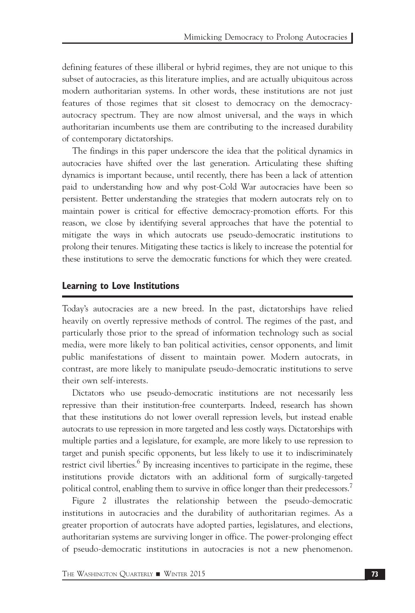defining features of these illiberal or hybrid regimes, they are not unique to this subset of autocracies, as this literature implies, and are actually ubiquitous across modern authoritarian systems. In other words, these institutions are not just features of those regimes that sit closest to democracy on the democracyautocracy spectrum. They are now almost universal, and the ways in which authoritarian incumbents use them are contributing to the increased durability of contemporary dictatorships.

The findings in this paper underscore the idea that the political dynamics in autocracies have shifted over the last generation. Articulating these shifting dynamics is important because, until recently, there has been a lack of attention paid to understanding how and why post-Cold War autocracies have been so persistent. Better understanding the strategies that modern autocrats rely on to maintain power is critical for effective democracy-promotion efforts. For this reason, we close by identifying several approaches that have the potential to mitigate the ways in which autocrats use pseudo-democratic institutions to prolong their tenures. Mitigating these tactics is likely to increase the potential for these institutions to serve the democratic functions for which they were created.

## Learning to Love Institutions

Today's autocracies are a new breed. In the past, dictatorships have relied heavily on overtly repressive methods of control. The regimes of the past, and particularly those prior to the spread of information technology such as social media, were more likely to ban political activities, censor opponents, and limit public manifestations of dissent to maintain power. Modern autocrats, in contrast, are more likely to manipulate pseudo-democratic institutions to serve their own self-interests.

Dictators who use pseudo-democratic institutions are not necessarily less repressive than their institution-free counterparts. Indeed, research has shown that these institutions do not lower overall repression levels, but instead enable autocrats to use repression in more targeted and less costly ways. Dictatorships with multiple parties and a legislature, for example, are more likely to use repression to target and punish specific opponents, but less likely to use it to indiscriminately restrict civil liberties.<sup>6</sup> By increasing incentives to participate in the regime, these institutions provide dictators with an additional form of surgically-targeted political control, enabling them to survive in office longer than their predecessors.<sup>1</sup>

Figure 2 illustrates the relationship between the pseudo-democratic institutions in autocracies and the durability of authoritarian regimes. As a greater proportion of autocrats have adopted parties, legislatures, and elections, authoritarian systems are surviving longer in office. The power-prolonging effect of pseudo-democratic institutions in autocracies is not a new phenomenon.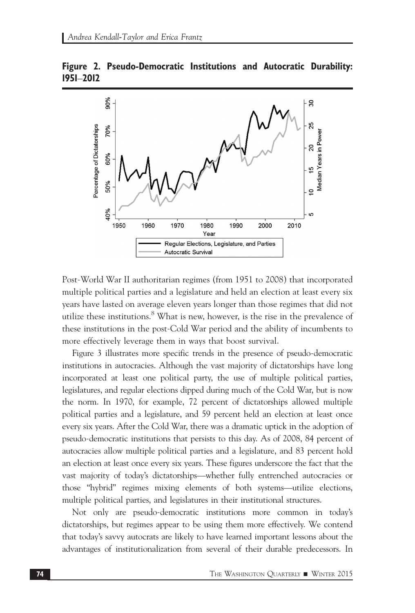



Post-World War II authoritarian regimes (from 1951 to 2008) that incorporated multiple political parties and a legislature and held an election at least every six years have lasted on average eleven years longer than those regimes that did not utilize these institutions.<sup>8</sup> What is new, however, is the rise in the prevalence of these institutions in the post-Cold War period and the ability of incumbents to more effectively leverage them in ways that boost survival.

Figure 3 illustrates more specific trends in the presence of pseudo-democratic institutions in autocracies. Although the vast majority of dictatorships have long incorporated at least one political party, the use of multiple political parties, legislatures, and regular elections dipped during much of the Cold War, but is now the norm. In 1970, for example, 72 percent of dictatorships allowed multiple political parties and a legislature, and 59 percent held an election at least once every six years. After the Cold War, there was a dramatic uptick in the adoption of pseudo-democratic institutions that persists to this day. As of 2008, 84 percent of autocracies allow multiple political parties and a legislature, and 83 percent hold an election at least once every six years. These figures underscore the fact that the vast majority of today's dictatorships—whether fully entrenched autocracies or those "hybrid" regimes mixing elements of both systems—utilize elections, multiple political parties, and legislatures in their institutional structures.

Not only are pseudo-democratic institutions more common in today's dictatorships, but regimes appear to be using them more effectively. We contend that today's savvy autocrats are likely to have learned important lessons about the advantages of institutionalization from several of their durable predecessors. In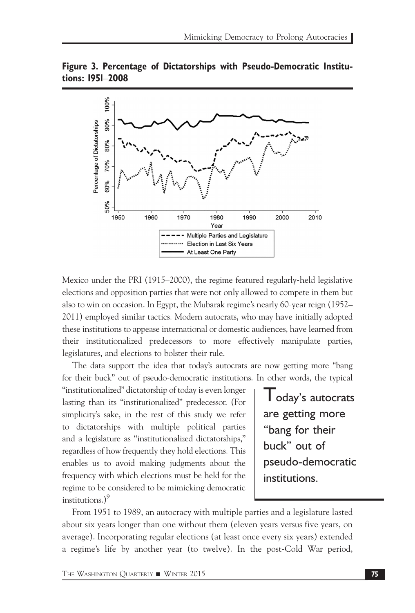



Mexico under the PRI (1915–2000), the regime featured regularly-held legislative elections and opposition parties that were not only allowed to compete in them but also to win on occasion. In Egypt, the Mubarak regime's nearly 60-year reign (1952– 2011) employed similar tactics. Modern autocrats, who may have initially adopted these institutions to appease international or domestic audiences, have learned from their institutionalized predecessors to more effectively manipulate parties, legislatures, and elections to bolster their rule.

The data support the idea that today's autocrats are now getting more "bang for their buck" out of pseudo-democratic institutions. In other words, the typical

"institutionalized" dictatorship of today is even longer lasting than its "institutionalized" predecessor. (For simplicity's sake, in the rest of this study we refer to dictatorships with multiple political parties and a legislature as "institutionalized dictatorships," regardless of how frequently they hold elections. This enables us to avoid making judgments about the frequency with which elections must be held for the regime to be considered to be mimicking democratic institutions.)<sup>9</sup>

l oday's autocrats are getting more "bang for their buck" out of pseudo-democratic institutions.

From 1951 to 1989, an autocracy with multiple parties and a legislature lasted about six years longer than one without them (eleven years versus five years, on average). Incorporating regular elections (at least once every six years) extended a regime's life by another year (to twelve). In the post-Cold War period,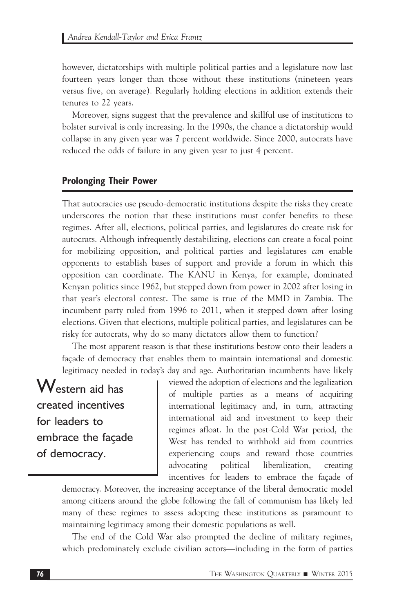however, dictatorships with multiple political parties and a legislature now last fourteen years longer than those without these institutions (nineteen years versus five, on average). Regularly holding elections in addition extends their tenures to 22 years.

Moreover, signs suggest that the prevalence and skillful use of institutions to bolster survival is only increasing. In the 1990s, the chance a dictatorship would collapse in any given year was 7 percent worldwide. Since 2000, autocrats have reduced the odds of failure in any given year to just 4 percent.

## Prolonging Their Power

That autocracies use pseudo-democratic institutions despite the risks they create underscores the notion that these institutions must confer benefits to these regimes. After all, elections, political parties, and legislatures do create risk for autocrats. Although infrequently destabilizing, elections can create a focal point for mobilizing opposition, and political parties and legislatures can enable opponents to establish bases of support and provide a forum in which this opposition can coordinate. The KANU in Kenya, for example, dominated Kenyan politics since 1962, but stepped down from power in 2002 after losing in that year's electoral contest. The same is true of the MMD in Zambia. The incumbent party ruled from 1996 to 2011, when it stepped down after losing elections. Given that elections, multiple political parties, and legislatures can be risky for autocrats, why do so many dictators allow them to function?

The most apparent reason is that these institutions bestow onto their leaders a facade of democracy that enables them to maintain international and domestic legitimacy needed in today's day and age. Authoritarian incumbents have likely

Western aid has created incentives for leaders to embrace the facade of democracy.

viewed the adoption of elections and the legalization of multiple parties as a means of acquiring international legitimacy and, in turn, attracting international aid and investment to keep their regimes afloat. In the post-Cold War period, the West has tended to withhold aid from countries experiencing coups and reward those countries advocating political liberalization, creating incentives for leaders to embrace the façade of

democracy. Moreover, the increasing acceptance of the liberal democratic model among citizens around the globe following the fall of communism has likely led many of these regimes to assess adopting these institutions as paramount to maintaining legitimacy among their domestic populations as well.

The end of the Cold War also prompted the decline of military regimes, which predominately exclude civilian actors—including in the form of parties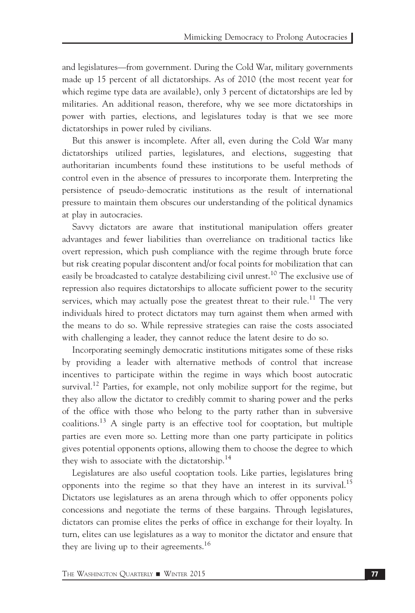and legislatures—from government. During the Cold War, military governments made up 15 percent of all dictatorships. As of 2010 (the most recent year for which regime type data are available), only 3 percent of dictatorships are led by militaries. An additional reason, therefore, why we see more dictatorships in power with parties, elections, and legislatures today is that we see more dictatorships in power ruled by civilians.

But this answer is incomplete. After all, even during the Cold War many dictatorships utilized parties, legislatures, and elections, suggesting that authoritarian incumbents found these institutions to be useful methods of control even in the absence of pressures to incorporate them. Interpreting the persistence of pseudo-democratic institutions as the result of international pressure to maintain them obscures our understanding of the political dynamics at play in autocracies.

Savvy dictators are aware that institutional manipulation offers greater advantages and fewer liabilities than overreliance on traditional tactics like overt repression, which push compliance with the regime through brute force but risk creating popular discontent and/or focal points for mobilization that can easily be broadcasted to catalyze destabilizing civil unrest.<sup>10</sup> The exclusive use of repression also requires dictatorships to allocate sufficient power to the security services, which may actually pose the greatest threat to their rule.<sup>11</sup> The very individuals hired to protect dictators may turn against them when armed with the means to do so. While repressive strategies can raise the costs associated with challenging a leader, they cannot reduce the latent desire to do so.

Incorporating seemingly democratic institutions mitigates some of these risks by providing a leader with alternative methods of control that increase incentives to participate within the regime in ways which boost autocratic survival.<sup>12</sup> Parties, for example, not only mobilize support for the regime, but they also allow the dictator to credibly commit to sharing power and the perks of the office with those who belong to the party rather than in subversive coalitions.<sup>13</sup> A single party is an effective tool for cooptation, but multiple parties are even more so. Letting more than one party participate in politics gives potential opponents options, allowing them to choose the degree to which they wish to associate with the dictatorship.<sup>14</sup>

Legislatures are also useful cooptation tools. Like parties, legislatures bring opponents into the regime so that they have an interest in its survival.<sup>15</sup> Dictators use legislatures as an arena through which to offer opponents policy concessions and negotiate the terms of these bargains. Through legislatures, dictators can promise elites the perks of office in exchange for their loyalty. In turn, elites can use legislatures as a way to monitor the dictator and ensure that they are living up to their agreements.<sup>16</sup>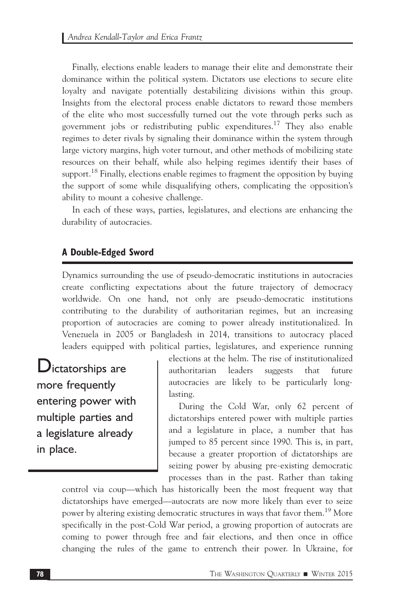Finally, elections enable leaders to manage their elite and demonstrate their dominance within the political system. Dictators use elections to secure elite loyalty and navigate potentially destabilizing divisions within this group. Insights from the electoral process enable dictators to reward those members of the elite who most successfully turned out the vote through perks such as government jobs or redistributing public expenditures.17 They also enable regimes to deter rivals by signaling their dominance within the system through large victory margins, high voter turnout, and other methods of mobilizing state resources on their behalf, while also helping regimes identify their bases of support.<sup>18</sup> Finally, elections enable regimes to fragment the opposition by buying the support of some while disqualifying others, complicating the opposition's ability to mount a cohesive challenge.

In each of these ways, parties, legislatures, and elections are enhancing the durability of autocracies.

# A Double-Edged Sword

Dynamics surrounding the use of pseudo-democratic institutions in autocracies create conflicting expectations about the future trajectory of democracy worldwide. On one hand, not only are pseudo-democratic institutions contributing to the durability of authoritarian regimes, but an increasing proportion of autocracies are coming to power already institutionalized. In Venezuela in 2005 or Bangladesh in 2014, transitions to autocracy placed leaders equipped with political parties, legislatures, and experience running

Dictatorships are more frequently entering power with multiple parties and a legislature already in place.

elections at the helm. The rise of institutionalized authoritarian leaders suggests that future autocracies are likely to be particularly longlasting.

During the Cold War, only 62 percent of dictatorships entered power with multiple parties and a legislature in place, a number that has jumped to 85 percent since 1990. This is, in part, because a greater proportion of dictatorships are seizing power by abusing pre-existing democratic processes than in the past. Rather than taking

control via coup—which has historically been the most frequent way that dictatorships have emerged—autocrats are now more likely than ever to seize power by altering existing democratic structures in ways that favor them.<sup>19</sup> More specifically in the post-Cold War period, a growing proportion of autocrats are coming to power through free and fair elections, and then once in office changing the rules of the game to entrench their power. In Ukraine, for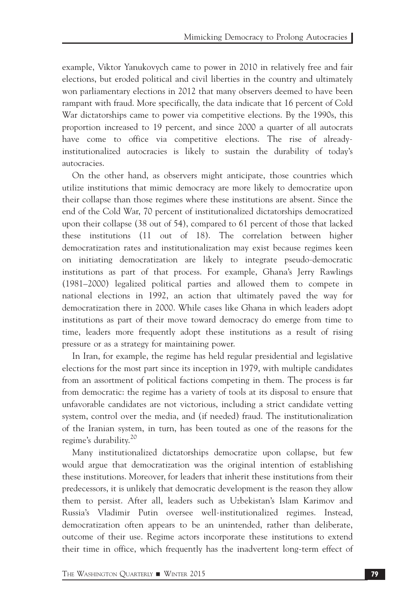example, Viktor Yanukovych came to power in 2010 in relatively free and fair elections, but eroded political and civil liberties in the country and ultimately won parliamentary elections in 2012 that many observers deemed to have been rampant with fraud. More specifically, the data indicate that 16 percent of Cold War dictatorships came to power via competitive elections. By the 1990s, this proportion increased to 19 percent, and since 2000 a quarter of all autocrats have come to office via competitive elections. The rise of alreadyinstitutionalized autocracies is likely to sustain the durability of today's autocracies.

On the other hand, as observers might anticipate, those countries which utilize institutions that mimic democracy are more likely to democratize upon their collapse than those regimes where these institutions are absent. Since the end of the Cold War, 70 percent of institutionalized dictatorships democratized upon their collapse (38 out of 54), compared to 61 percent of those that lacked these institutions (11 out of 18). The correlation between higher democratization rates and institutionalization may exist because regimes keen on initiating democratization are likely to integrate pseudo-democratic institutions as part of that process. For example, Ghana's Jerry Rawlings (1981–2000) legalized political parties and allowed them to compete in national elections in 1992, an action that ultimately paved the way for democratization there in 2000. While cases like Ghana in which leaders adopt institutions as part of their move toward democracy do emerge from time to time, leaders more frequently adopt these institutions as a result of rising pressure or as a strategy for maintaining power.

In Iran, for example, the regime has held regular presidential and legislative elections for the most part since its inception in 1979, with multiple candidates from an assortment of political factions competing in them. The process is far from democratic: the regime has a variety of tools at its disposal to ensure that unfavorable candidates are not victorious, including a strict candidate vetting system, control over the media, and (if needed) fraud. The institutionalization of the Iranian system, in turn, has been touted as one of the reasons for the regime's durability.<sup>20</sup>

Many institutionalized dictatorships democratize upon collapse, but few would argue that democratization was the original intention of establishing these institutions. Moreover, for leaders that inherit these institutions from their predecessors, it is unlikely that democratic development is the reason they allow them to persist. After all, leaders such as Uzbekistan's Islam Karimov and Russia's Vladimir Putin oversee well-institutionalized regimes. Instead, democratization often appears to be an unintended, rather than deliberate, outcome of their use. Regime actors incorporate these institutions to extend their time in office, which frequently has the inadvertent long-term effect of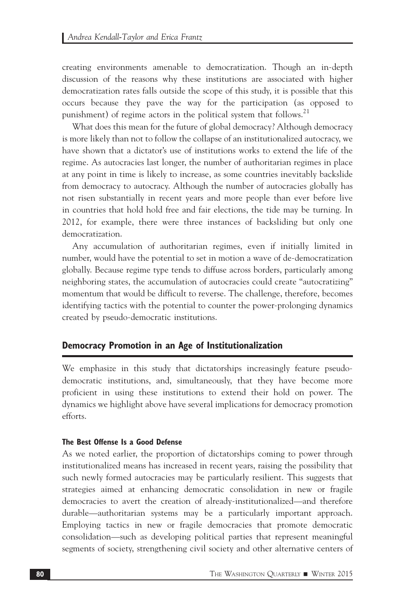creating environments amenable to democratization. Though an in-depth discussion of the reasons why these institutions are associated with higher democratization rates falls outside the scope of this study, it is possible that this occurs because they pave the way for the participation (as opposed to punishment) of regime actors in the political system that follows.<sup>21</sup>

What does this mean for the future of global democracy? Although democracy is more likely than not to follow the collapse of an institutionalized autocracy, we have shown that a dictator's use of institutions works to extend the life of the regime. As autocracies last longer, the number of authoritarian regimes in place at any point in time is likely to increase, as some countries inevitably backslide from democracy to autocracy. Although the number of autocracies globally has not risen substantially in recent years and more people than ever before live in countries that hold hold free and fair elections, the tide may be turning. In 2012, for example, there were three instances of backsliding but only one democratization.

Any accumulation of authoritarian regimes, even if initially limited in number, would have the potential to set in motion a wave of de-democratization globally. Because regime type tends to diffuse across borders, particularly among neighboring states, the accumulation of autocracies could create "autocratizing" momentum that would be difficult to reverse. The challenge, therefore, becomes identifying tactics with the potential to counter the power-prolonging dynamics created by pseudo-democratic institutions.

## Democracy Promotion in an Age of Institutionalization

We emphasize in this study that dictatorships increasingly feature pseudodemocratic institutions, and, simultaneously, that they have become more proficient in using these institutions to extend their hold on power. The dynamics we highlight above have several implications for democracy promotion efforts.

#### The Best Offense Is a Good Defense

As we noted earlier, the proportion of dictatorships coming to power through institutionalized means has increased in recent years, raising the possibility that such newly formed autocracies may be particularly resilient. This suggests that strategies aimed at enhancing democratic consolidation in new or fragile democracies to avert the creation of already-institutionalized—and therefore durable—authoritarian systems may be a particularly important approach. Employing tactics in new or fragile democracies that promote democratic consolidation—such as developing political parties that represent meaningful segments of society, strengthening civil society and other alternative centers of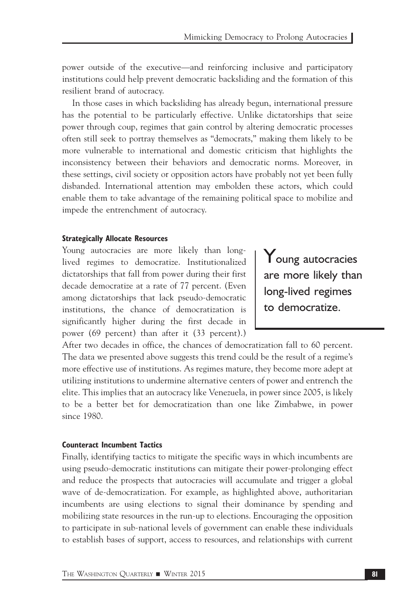power outside of the executive—and reinforcing inclusive and participatory institutions could help prevent democratic backsliding and the formation of this resilient brand of autocracy.

In those cases in which backsliding has already begun, international pressure has the potential to be particularly effective. Unlike dictatorships that seize power through coup, regimes that gain control by altering democratic processes often still seek to portray themselves as "democrats," making them likely to be more vulnerable to international and domestic criticism that highlights the inconsistency between their behaviors and democratic norms. Moreover, in these settings, civil society or opposition actors have probably not yet been fully disbanded. International attention may embolden these actors, which could enable them to take advantage of the remaining political space to mobilize and impede the entrenchment of autocracy.

#### Strategically Allocate Resources

Young autocracies are more likely than longlived regimes to democratize. Institutionalized dictatorships that fall from power during their first decade democratize at a rate of 77 percent. (Even among dictatorships that lack pseudo-democratic institutions, the chance of democratization is significantly higher during the first decade in power (69 percent) than after it (33 percent).)

Y oung autocracies are more likely than long-lived regimes to democratize.

After two decades in office, the chances of democratization fall to 60 percent. The data we presented above suggests this trend could be the result of a regime's more effective use of institutions. As regimes mature, they become more adept at utilizing institutions to undermine alternative centers of power and entrench the elite. This implies that an autocracy like Venezuela, in power since 2005, is likely to be a better bet for democratization than one like Zimbabwe, in power since 1980.

## Counteract Incumbent Tactics

Finally, identifying tactics to mitigate the specific ways in which incumbents are using pseudo-democratic institutions can mitigate their power-prolonging effect and reduce the prospects that autocracies will accumulate and trigger a global wave of de-democratization. For example, as highlighted above, authoritarian incumbents are using elections to signal their dominance by spending and mobilizing state resources in the run-up to elections. Encouraging the opposition to participate in sub-national levels of government can enable these individuals to establish bases of support, access to resources, and relationships with current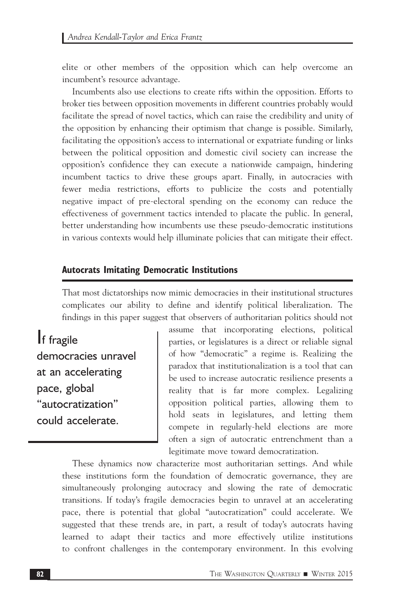elite or other members of the opposition which can help overcome an incumbent's resource advantage.

Incumbents also use elections to create rifts within the opposition. Efforts to broker ties between opposition movements in different countries probably would facilitate the spread of novel tactics, which can raise the credibility and unity of the opposition by enhancing their optimism that change is possible. Similarly, facilitating the opposition's access to international or expatriate funding or links between the political opposition and domestic civil society can increase the opposition's confidence they can execute a nationwide campaign, hindering incumbent tactics to drive these groups apart. Finally, in autocracies with fewer media restrictions, efforts to publicize the costs and potentially negative impact of pre-electoral spending on the economy can reduce the effectiveness of government tactics intended to placate the public. In general, better understanding how incumbents use these pseudo-democratic institutions in various contexts would help illuminate policies that can mitigate their effect.

# Autocrats Imitating Democratic Institutions

That most dictatorships now mimic democracies in their institutional structures complicates our ability to define and identify political liberalization. The findings in this paper suggest that observers of authoritarian politics should not

If fragile democracies unravel at an accelerating pace, global "autocratization" could accelerate.

assume that incorporating elections, political parties, or legislatures is a direct or reliable signal of how "democratic" a regime is. Realizing the paradox that institutionalization is a tool that can be used to increase autocratic resilience presents a reality that is far more complex. Legalizing opposition political parties, allowing them to hold seats in legislatures, and letting them compete in regularly-held elections are more often a sign of autocratic entrenchment than a legitimate move toward democratization.

These dynamics now characterize most authoritarian settings. And while these institutions form the foundation of democratic governance, they are simultaneously prolonging autocracy and slowing the rate of democratic transitions. If today's fragile democracies begin to unravel at an accelerating pace, there is potential that global "autocratization" could accelerate. We suggested that these trends are, in part, a result of today's autocrats having learned to adapt their tactics and more effectively utilize institutions to confront challenges in the contemporary environment. In this evolving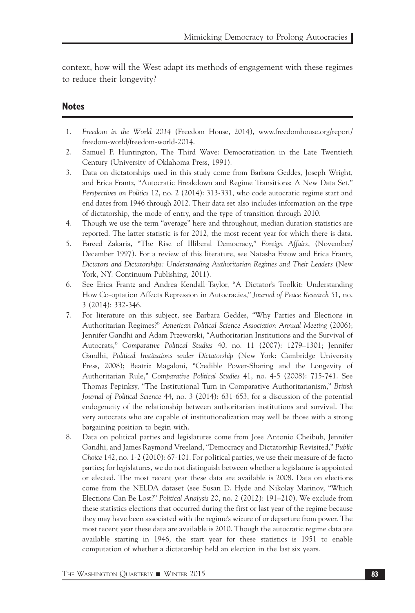context, how will the West adapt its methods of engagement with these regimes to reduce their longevity?

### **Notes**

- 1. Freedom in the World 2014 (Freedom House, 2014), [www.freedomhouse.org/report/](http://www.freedomhouse.org/report/freedom-world/freedom-world-2014) freedom-[world/freedom](http://www.freedomhouse.org/report/freedom-world/freedom-world-2014)-world-2014.
- 2. Samuel P. Huntington, The Third Wave: Democratization in the Late Twentieth Century (University of Oklahoma Press, 1991).
- 3. Data on dictatorships used in this study come from Barbara Geddes, Joseph Wright, and Erica Frantz, "Autocratic Breakdown and Regime Transitions: A New Data Set," Perspectives on Politics 12, no. 2 (2014): 313-331, who code autocratic regime start and end dates from 1946 through 2012. Their data set also includes information on the type of dictatorship, the mode of entry, and the type of transition through 2010.
- 4. Though we use the term "average" here and throughout, median duration statistics are reported. The latter statistic is for 2012, the most recent year for which there is data.
- 5. Fareed Zakaria, "The Rise of Illiberal Democracy," Foreign Affairs, (November/ December 1997). For a review of this literature, see Natasha Ezrow and Erica Frantz, Dictators and Dictatorships: Understanding Authoritarian Regimes and Their Leaders (New York, NY: Continuum Publishing, 2011).
- 6. See Erica Frantz and Andrea Kendall-Taylor, "A Dictator's Toolkit: Understanding How Co-optation Affects Repression in Autocracies," Journal of Peace Research 51, no. 3 (2014): 332-346.
- 7. For literature on this subject, see Barbara Geddes, "Why Parties and Elections in Authoritarian Regimes?" American Political Science Association Annual Meeting (2006); Jennifer Gandhi and Adam Przeworski, "Authoritarian Institutions and the Survival of Autocrats," Comparative Political Studies 40, no. 11 (2007): 1279–1301; Jennifer Gandhi, Political Institutions under Dictatorship (New York: Cambridge University Press, 2008); Beatriz Magaloni, "Credible Power-Sharing and the Longevity of Authoritarian Rule," Comparative Political Studies 41, no. 4-5 (2008): 715-741. See Thomas Pepinksy, "The Institutional Turn in Comparative Authoritarianism," British Journal of Political Science 44, no. 3 (2014): 631-653, for a discussion of the potential endogeneity of the relationship between authoritarian institutions and survival. The very autocrats who are capable of institutionalization may well be those with a strong bargaining position to begin with.
- 8. Data on political parties and legislatures come from Jose Antonio Cheibub, Jennifer Gandhi, and James Raymond Vreeland, "Democracy and Dictatorship Revisited," Public Choice 142, no. 1-2 (2010): 67-101. For political parties, we use their measure of de facto parties; for legislatures, we do not distinguish between whether a legislature is appointed or elected. The most recent year these data are available is 2008. Data on elections come from the NELDA dataset (see Susan D. Hyde and Nikolay Marinov, "Which Elections Can Be Lost?" Political Analysis 20, no. 2 (2012): 191–210). We exclude from these statistics elections that occurred during the first or last year of the regime because they may have been associated with the regime's seizure of or departure from power. The most recent year these data are available is 2010. Though the autocratic regime data are available starting in 1946, the start year for these statistics is 1951 to enable computation of whether a dictatorship held an election in the last six years.